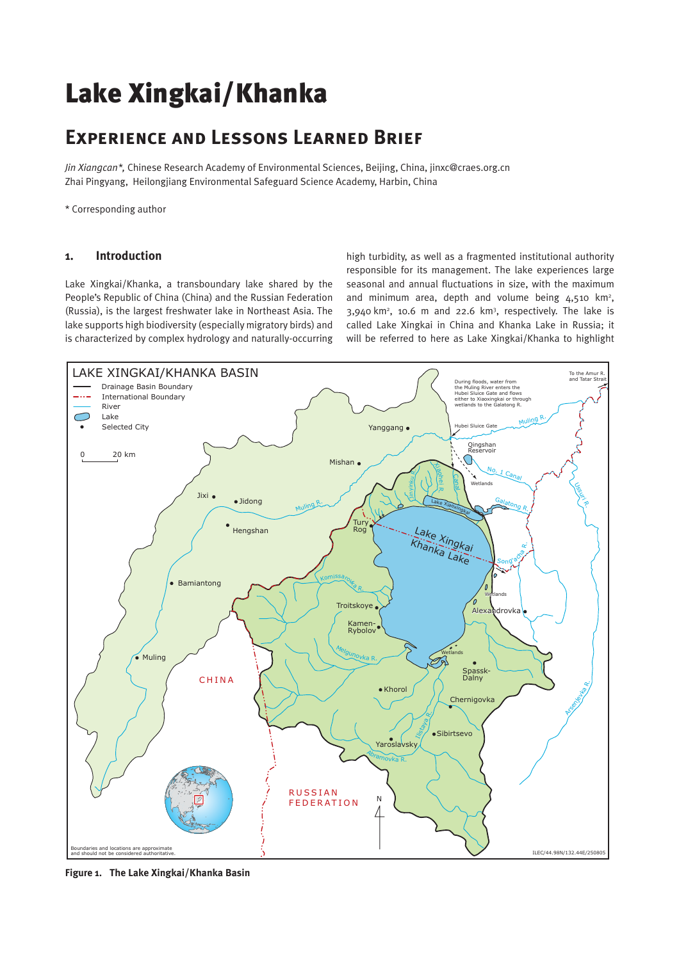# Lake Xingkai/Khanka

# **Experience and Lessons Learned Brief**

*Jin Xiangcan\*,* Chinese Research Academy of Environmental Sciences, Beijing, China, jinxc@craes.org.cn Zhai Pingyang, Heilongjiang Environmental Safeguard Science Academy, Harbin, China

\* Corresponding author

#### **1. Introduction**

Lake Xingkai/Khanka, a transboundary lake shared by the People's Republic of China (China) and the Russian Federation (Russia), is the largest freshwater lake in Northeast Asia. The lake supports high biodiversity (especially migratory birds) and is characterized by complex hydrology and naturally-occurring

high turbidity, as well as a fragmented institutional authority responsible for its management. The lake experiences large seasonal and annual fluctuations in size, with the maximum and minimum area, depth and volume being  $4,510$  km<sup>2</sup>,  $3,940$  km<sup>2</sup>, 10.6 m and 22.6 km<sup>3</sup>, respectively. The lake is called Lake Xingkai in China and Khanka Lake in Russia; it will be referred to here as Lake Xingkai/Khanka to highlight



**Figure 1. The Lake Xingkai/Khanka Basin**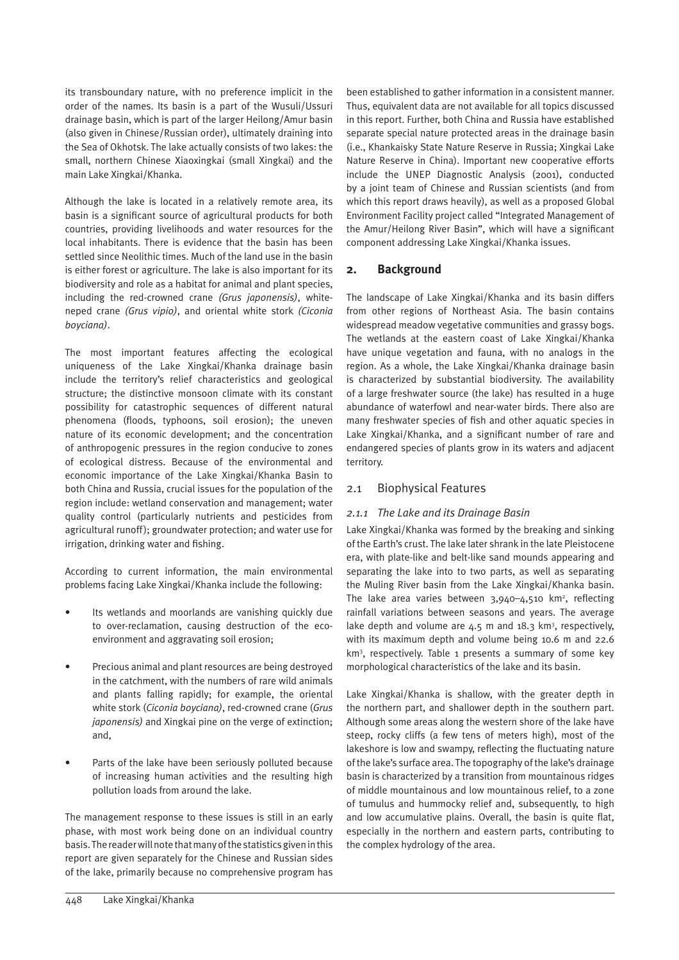its transboundary nature, with no preference implicit in the order of the names. Its basin is a part of the Wusuli/Ussuri drainage basin, which is part of the larger Heilong/Amur basin (also given in Chinese/Russian order), ultimately draining into the Sea of Okhotsk. The lake actually consists of two lakes: the small, northern Chinese Xiaoxingkai (small Xingkai) and the main Lake Xingkai/Khanka.

Although the lake is located in a relatively remote area, its basin is a significant source of agricultural products for both countries, providing livelihoods and water resources for the local inhabitants. There is evidence that the basin has been settled since Neolithic times. Much of the land use in the basin is either forest or agriculture. The lake is also important for its biodiversity and role as a habitat for animal and plant species, including the red-crowned crane *(Grus japonensis)*, whiteneped crane *(Grus vipio)*, and oriental white stork *(Ciconia boyciana)*.

The most important features affecting the ecological uniqueness of the Lake Xingkai/Khanka drainage basin include the territory's relief characteristics and geological structure; the distinctive monsoon climate with its constant possibility for catastrophic sequences of different natural phenomena (floods, typhoons, soil erosion); the uneven nature of its economic development; and the concentration of anthropogenic pressures in the region conducive to zones of ecological distress. Because of the environmental and economic importance of the Lake Xingkai/Khanka Basin to both China and Russia, crucial issues for the population of the region include: wetland conservation and management; water quality control (particularly nutrients and pesticides from agricultural runoff); groundwater protection; and water use for irrigation, drinking water and fishing.

According to current information, the main environmental problems facing Lake Xingkai/Khanka include the following:

- Its wetlands and moorlands are vanishing quickly due to over-reclamation, causing destruction of the ecoenvironment and aggravating soil erosion;
- Precious animal and plant resources are being destroyed in the catchment, with the numbers of rare wild animals and plants falling rapidly; for example, the oriental white stork (*Ciconia boyciana)*, red-crowned crane (*Grus japonensis)* and Xingkai pine on the verge of extinction; and,
- Parts of the lake have been seriously polluted because of increasing human activities and the resulting high pollution loads from around the lake.

The management response to these issues is still in an early phase, with most work being done on an individual country basis. The reader will note that many of the statistics given in this report are given separately for the Chinese and Russian sides of the lake, primarily because no comprehensive program has been established to gather information in a consistent manner. Thus, equivalent data are not available for all topics discussed in this report. Further, both China and Russia have established separate special nature protected areas in the drainage basin (i.e., Khankaisky State Nature Reserve in Russia; Xingkai Lake Nature Reserve in China). Important new cooperative efforts include the UNEP Diagnostic Analysis (2001), conducted by a joint team of Chinese and Russian scientists (and from which this report draws heavily), as well as a proposed Global Environment Facility project called "Integrated Management of the Amur/Heilong River Basin", which will have a significant component addressing Lake Xingkai/Khanka issues.

# **2. Background**

The landscape of Lake Xingkai/Khanka and its basin differs from other regions of Northeast Asia. The basin contains widespread meadow vegetative communities and grassy bogs. The wetlands at the eastern coast of Lake Xingkai/Khanka have unique vegetation and fauna, with no analogs in the region. As a whole, the Lake Xingkai/Khanka drainage basin is characterized by substantial biodiversity. The availability of a large freshwater source (the lake) has resulted in a huge abundance of waterfowl and near-water birds. There also are many freshwater species of fish and other aquatic species in Lake Xingkai/Khanka, and a significant number of rare and endangered species of plants grow in its waters and adjacent territory.

# 2.1 Biophysical Features

# *2.1.1 The Lake and its Drainage Basin*

Lake Xingkai/Khanka was formed by the breaking and sinking of the Earth's crust. The lake later shrank in the late Pleistocene era, with plate-like and belt-like sand mounds appearing and separating the lake into to two parts, as well as separating the Muling River basin from the Lake Xingkai/Khanka basin. The lake area varies between  $3,940 - 4,510$  km<sup>2</sup>, reflecting rainfall variations between seasons and years. The average lake depth and volume are  $4.5$  m and  $18.3$  km<sup>3</sup>, respectively, with its maximum depth and volume being 10.6 m and 22.6 km3 , respectively. Table 1 presents a summary of some key morphological characteristics of the lake and its basin.

Lake Xingkai/Khanka is shallow, with the greater depth in the northern part, and shallower depth in the southern part. Although some areas along the western shore of the lake have steep, rocky cliffs (a few tens of meters high), most of the lakeshore is low and swampy, reflecting the fluctuating nature of the lake's surface area. The topography of the lake's drainage basin is characterized by a transition from mountainous ridges of middle mountainous and low mountainous relief, to a zone of tumulus and hummocky relief and, subsequently, to high and low accumulative plains. Overall, the basin is quite flat, especially in the northern and eastern parts, contributing to the complex hydrology of the area.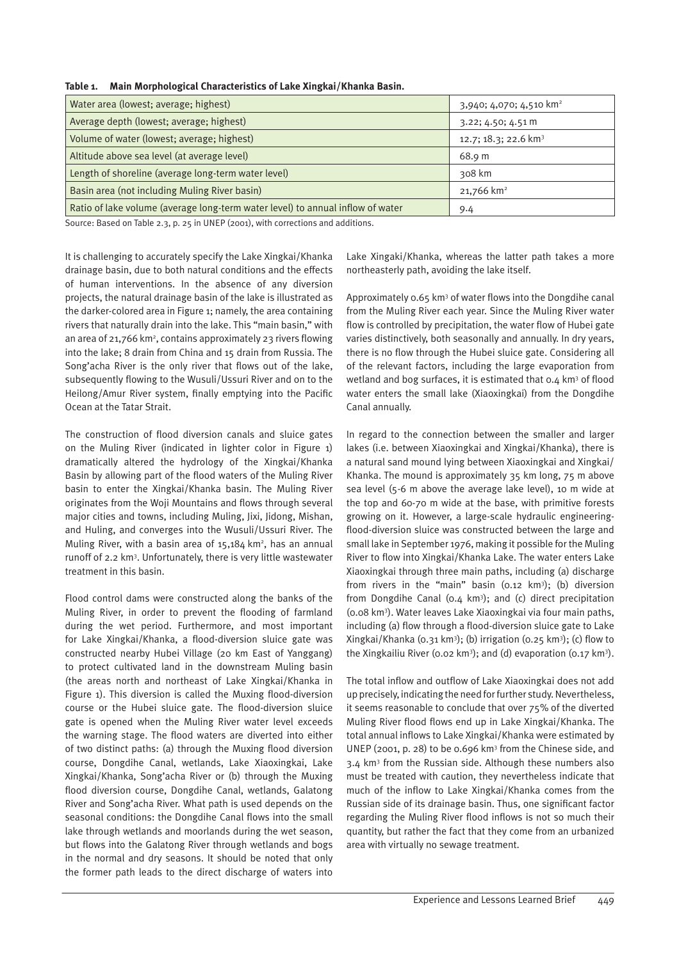| Water area (lowest; average; highest)                                          | 3,940; 4,070; 4,510 km <sup>2</sup> |
|--------------------------------------------------------------------------------|-------------------------------------|
| Average depth (lowest; average; highest)                                       | $3.22; 4.50; 4.51 \text{ m}$        |
| Volume of water (lowest; average; highest)                                     | 12.7; 18.3; 22.6 km <sup>3</sup>    |
| Altitude above sea level (at average level)                                    | 68.9 m                              |
| Length of shoreline (average long-term water level)                            | 308 km                              |
| Basin area (not including Muling River basin)                                  | 21,766 km <sup>2</sup>              |
| Ratio of lake volume (average long-term water level) to annual inflow of water | 9.4                                 |

**Table 1. Main Morphological Characteristics of Lake Xingkai/Khanka Basin.**

Source: Based on Table 2.3, p. 25 in UNEP (2001), with corrections and additions.

It is challenging to accurately specify the Lake Xingkai/Khanka drainage basin, due to both natural conditions and the effects of human interventions. In the absence of any diversion projects, the natural drainage basin of the lake is illustrated as the darker-colored area in Figure 1; namely, the area containing rivers that naturally drain into the lake. This "main basin," with an area of 21,766 km<sup>2</sup>, contains approximately 23 rivers flowing into the lake; 8 drain from China and 15 drain from Russia. The Song'acha River is the only river that flows out of the lake, subsequently flowing to the Wusuli/Ussuri River and on to the Heilong/Amur River system, finally emptying into the Pacific Ocean at the Tatar Strait.

The construction of flood diversion canals and sluice gates on the Muling River (indicated in lighter color in Figure 1) dramatically altered the hydrology of the Xingkai/Khanka Basin by allowing part of the flood waters of the Muling River basin to enter the Xingkai/Khanka basin. The Muling River originates from the Woji Mountains and flows through several major cities and towns, including Muling, Jixi, Jidong, Mishan, and Huling, and converges into the Wusuli/Ussuri River. The Muling River, with a basin area of 15,184 km<sup>2</sup>, has an annual runoff of 2.2 km3 . Unfortunately, there is very little wastewater treatment in this basin.

Flood control dams were constructed along the banks of the Muling River, in order to prevent the flooding of farmland during the wet period. Furthermore, and most important for Lake Xingkai/Khanka, a flood-diversion sluice gate was constructed nearby Hubei Village (20 km East of Yanggang) to protect cultivated land in the downstream Muling basin (the areas north and northeast of Lake Xingkai/Khanka in Figure 1). This diversion is called the Muxing flood-diversion course or the Hubei sluice gate. The flood-diversion sluice gate is opened when the Muling River water level exceeds the warning stage. The flood waters are diverted into either of two distinct paths: (a) through the Muxing flood diversion course, Dongdihe Canal, wetlands, Lake Xiaoxingkai, Lake Xingkai/Khanka, Song'acha River or (b) through the Muxing flood diversion course, Dongdihe Canal, wetlands, Galatong River and Song'acha River. What path is used depends on the seasonal conditions: the Dongdihe Canal flows into the small lake through wetlands and moorlands during the wet season, but flows into the Galatong River through wetlands and bogs in the normal and dry seasons. It should be noted that only the former path leads to the direct discharge of waters into

Lake Xingaki/Khanka, whereas the latter path takes a more northeasterly path, avoiding the lake itself.

Approximately 0.65 km3 of water flows into the Dongdihe canal from the Muling River each year. Since the Muling River water flow is controlled by precipitation, the water flow of Hubei gate varies distinctively, both seasonally and annually. In dry years, there is no flow through the Hubei sluice gate. Considering all of the relevant factors, including the large evaporation from wetland and bog surfaces, it is estimated that 0.4 km<sup>3</sup> of flood water enters the small lake (Xiaoxingkai) from the Dongdihe Canal annually.

In regard to the connection between the smaller and larger lakes (i.e. between Xiaoxingkai and Xingkai/Khanka), there is a natural sand mound lying between Xiaoxingkai and Xingkai/ Khanka. The mound is approximately 35 km long, 75 m above sea level (5-6 m above the average lake level), 10 m wide at the top and 60-70 m wide at the base, with primitive forests growing on it. However, a large-scale hydraulic engineeringflood-diversion sluice was constructed between the large and small lake in September 1976, making it possible for the Muling River to flow into Xingkai/Khanka Lake. The water enters Lake Xiaoxingkai through three main paths, including (a) discharge from rivers in the "main" basin  $(0.12 \text{ km}^3)$ ; (b) diversion from Dongdihe Canal ( $0.4 \text{ km}^3$ ); and (c) direct precipitation (0.08 km3 ). Water leaves Lake Xiaoxingkai via four main paths, including (a) flow through a flood-diversion sluice gate to Lake Xingkai/Khanka (0.31 km3 ); (b) irrigation (0.25 km3 ); (c) flow to the Xingkailiu River (0.02 km<sup>3</sup>); and (d) evaporation (0.17 km<sup>3</sup>).

The total inflow and outflow of Lake Xiaoxingkai does not add up precisely, indicating the need for further study. Nevertheless, it seems reasonable to conclude that over 75% of the diverted Muling River flood flows end up in Lake Xingkai/Khanka. The total annual inflows to Lake Xingkai/Khanka were estimated by UNEP (2001, p. 28) to be 0.696 km<sup>3</sup> from the Chinese side, and 3.4 km<sup>3</sup> from the Russian side. Although these numbers also must be treated with caution, they nevertheless indicate that much of the inflow to Lake Xingkai/Khanka comes from the Russian side of its drainage basin. Thus, one significant factor regarding the Muling River flood inflows is not so much their quantity, but rather the fact that they come from an urbanized area with virtually no sewage treatment.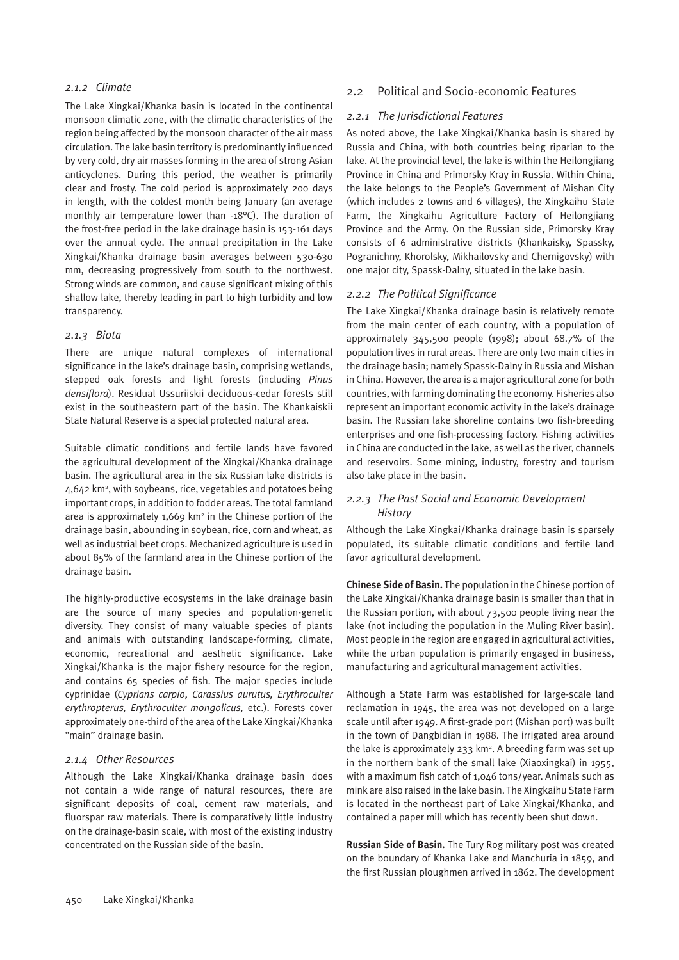#### *2.1.2 Climate*

The Lake Xingkai/Khanka basin is located in the continental monsoon climatic zone, with the climatic characteristics of the region being affected by the monsoon character of the air mass circulation. The lake basin territory is predominantly influenced by very cold, dry air masses forming in the area of strong Asian anticyclones. During this period, the weather is primarily clear and frosty. The cold period is approximately 200 days in length, with the coldest month being January (an average monthly air temperature lower than -18°C). The duration of the frost-free period in the lake drainage basin is 153-161 days over the annual cycle. The annual precipitation in the Lake Xingkai/Khanka drainage basin averages between 530-630 mm, decreasing progressively from south to the northwest. Strong winds are common, and cause significant mixing of this shallow lake, thereby leading in part to high turbidity and low transparency.

#### *2.1.3 Biota*

There are unique natural complexes of international significance in the lake's drainage basin, comprising wetlands, stepped oak forests and light forests (including *Pinus densiflora*). Residual Ussuriiskii deciduous-cedar forests still exist in the southeastern part of the basin. The Khankaiskii State Natural Reserve is a special protected natural area.

Suitable climatic conditions and fertile lands have favored the agricultural development of the Xingkai/Khanka drainage basin. The agricultural area in the six Russian lake districts is 4,642 km<sup>2</sup>, with soybeans, rice, vegetables and potatoes being important crops, in addition to fodder areas. The total farmland area is approximately 1,669 km<sup>2</sup> in the Chinese portion of the drainage basin, abounding in soybean, rice, corn and wheat, as well as industrial beet crops. Mechanized agriculture is used in about 85% of the farmland area in the Chinese portion of the drainage basin.

The highly-productive ecosystems in the lake drainage basin are the source of many species and population-genetic diversity. They consist of many valuable species of plants and animals with outstanding landscape-forming, climate, economic, recreational and aesthetic significance. Lake Xingkai/Khanka is the major fishery resource for the region, and contains 65 species of fish. The major species include cyprinidae (*Cyprians carpio, Carassius aurutus, Erythroculter erythropterus, Erythroculter mongolicus,* etc.). Forests cover approximately one-third of the area of the Lake Xingkai/Khanka "main" drainage basin.

#### *2.1.4 Other Resources*

Although the Lake Xingkai/Khanka drainage basin does not contain a wide range of natural resources, there are significant deposits of coal, cement raw materials, and fluorspar raw materials. There is comparatively little industry on the drainage-basin scale, with most of the existing industry concentrated on the Russian side of the basin.

#### 2.2 Political and Socio-economic Features

#### *2.2.1 The Jurisdictional Features*

As noted above, the Lake Xingkai/Khanka basin is shared by Russia and China, with both countries being riparian to the lake. At the provincial level, the lake is within the Heilongjiang Province in China and Primorsky Kray in Russia. Within China, the lake belongs to the People's Government of Mishan City (which includes 2 towns and 6 villages), the Xingkaihu State Farm, the Xingkaihu Agriculture Factory of Heilongjiang Province and the Army. On the Russian side, Primorsky Kray consists of 6 administrative districts (Khankaisky, Spassky, Pogranichny, Khorolsky, Mikhailovsky and Chernigovsky) with one major city, Spassk-Dalny, situated in the lake basin.

#### *2.2.2 The Political Significance*

The Lake Xingkai/Khanka drainage basin is relatively remote from the main center of each country, with a population of approximately 345,500 people (1998); about 68.7% of the population lives in rural areas. There are only two main cities in the drainage basin; namely Spassk-Dalny in Russia and Mishan in China. However, the area is a major agricultural zone for both countries, with farming dominating the economy. Fisheries also represent an important economic activity in the lake's drainage basin. The Russian lake shoreline contains two fish-breeding enterprises and one fish-processing factory. Fishing activities in China are conducted in the lake, as well as the river, channels and reservoirs. Some mining, industry, forestry and tourism also take place in the basin.

#### *2.2.3 The Past Social and Economic Development History*

Although the Lake Xingkai/Khanka drainage basin is sparsely populated, its suitable climatic conditions and fertile land favor agricultural development.

**Chinese Side of Basin.** The population in the Chinese portion of the Lake Xingkai/Khanka drainage basin is smaller than that in the Russian portion, with about 73,500 people living near the lake (not including the population in the Muling River basin). Most people in the region are engaged in agricultural activities, while the urban population is primarily engaged in business, manufacturing and agricultural management activities.

Although a State Farm was established for large-scale land reclamation in 1945, the area was not developed on a large scale until after 1949. A first-grade port (Mishan port) was built in the town of Dangbidian in 1988. The irrigated area around the lake is approximately 233 km<sup>2</sup>. A breeding farm was set up in the northern bank of the small lake (Xiaoxingkai) in 1955, with a maximum fish catch of 1,046 tons/year. Animals such as mink are also raised in the lake basin. The Xingkaihu State Farm is located in the northeast part of Lake Xingkai/Khanka, and contained a paper mill which has recently been shut down.

**Russian Side of Basin.** The Tury Rog military post was created on the boundary of Khanka Lake and Manchuria in 1859, and the first Russian ploughmen arrived in 1862. The development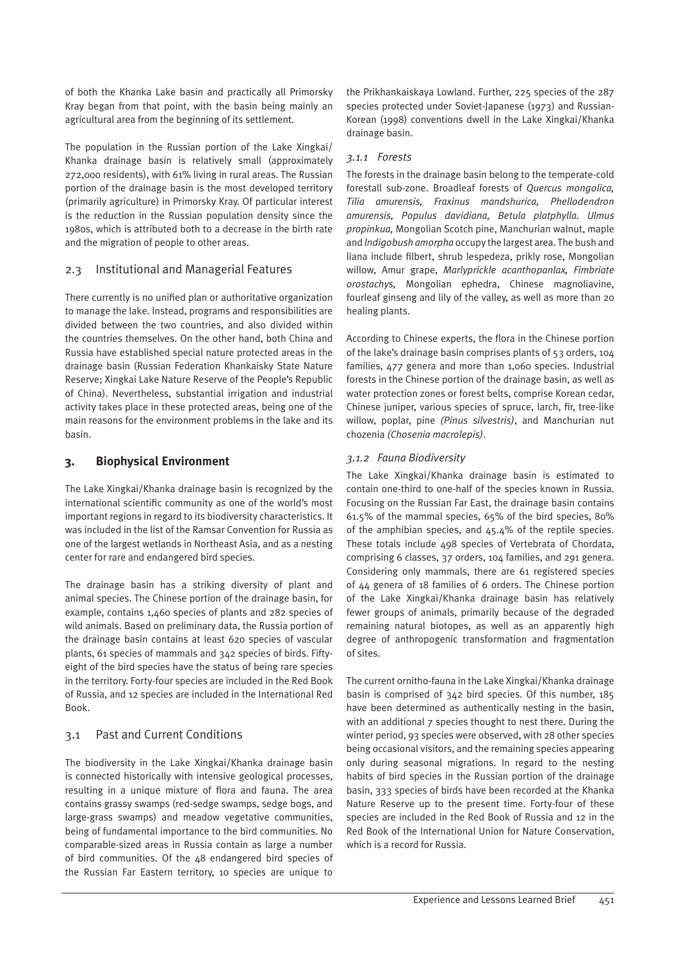of both the Khanka Lake basin and practically all Primorsky Kray began from that point, with the basin being mainly an agricultural area from the beginning of its settlement.

The population in the Russian portion of the Lake Xingkai/ Khanka drainage basin is relatively small (approximately 272,000 residents), with 61% living in rural areas. The Russian portion of the drainage basin is the most developed territory (primarily agriculture) in Primorsky Kray. Of particular interest is the reduction in the Russian population density since the 1980s, which is attributed both to a decrease in the birth rate and the migration of people to other areas.

# 2.3 Institutional and Managerial Features

There currently is no unified plan or authoritative organization to manage the lake. Instead, programs and responsibilities are divided between the two countries, and also divided within the countries themselves. On the other hand, both China and Russia have established special nature protected areas in the drainage basin (Russian Federation Khankaisky State Nature Reserve; Xingkai Lake Nature Reserve of the People's Republic of China). Nevertheless, substantial irrigation and industrial activity takes place in these protected areas, being one of the main reasons for the environment problems in the lake and its basin.

# **3. Biophysical Environment**

The Lake Xingkai/Khanka drainage basin is recognized by the international scientific community as one of the world's most important regions in regard to its biodiversity characteristics. It was included in the list of the Ramsar Convention for Russia as one of the largest wetlands in Northeast Asia, and as a nesting center for rare and endangered bird species.

The drainage basin has a striking diversity of plant and animal species. The Chinese portion of the drainage basin, for example, contains 1,460 species of plants and 282 species of wild animals. Based on preliminary data, the Russia portion of the drainage basin contains at least 620 species of vascular plants, 61 species of mammals and 342 species of birds. Fiftyeight of the bird species have the status of being rare species in the territory. Forty-four species are included in the Red Book of Russia, and 12 species are included in the International Red Book.

# 3.1 Past and Current Conditions

The biodiversity in the Lake Xingkai/Khanka drainage basin is connected historically with intensive geological processes, resulting in a unique mixture of flora and fauna. The area contains grassy swamps (red-sedge swamps, sedge bogs, and large-grass swamps) and meadow vegetative communities, being of fundamental importance to the bird communities. No comparable-sized areas in Russia contain as large a number of bird communities. Of the 48 endangered bird species of the Russian Far Eastern territory, 10 species are unique to

the Prikhankaiskaya Lowland. Further, 225 species of the 287 species protected under Soviet-Japanese (1973) and Russian-Korean (1998) conventions dwell in the Lake Xingkai/Khanka drainage basin.

## *3.1.1 Forests*

The forests in the drainage basin belong to the temperate-cold forestall sub-zone. Broadleaf forests of *Quercus mongolica, Tilia amurensis, Fraxinus mandshurica, Phellodendron amurensis, Populus davidiana, Betula platphylla. Ulmus propinkua,* Mongolian Scotch pine, Manchurian walnut, maple and *lndigobush amorpha* occupy the largest area. The bush and liana include filbert, shrub lespedeza, prikly rose, Mongolian willow, Amur grape, *Marlyprickle acanthopanlax, Fimbriate orostachys,* Mongolian ephedra, Chinese magnoliavine, fourleaf ginseng and lily of the valley, as well as more than 20 healing plants.

According to Chinese experts, the flora in the Chinese portion of the lake's drainage basin comprises plants of 53 orders, 104 families, 477 genera and more than 1,060 species. Industrial forests in the Chinese portion of the drainage basin, as well as water protection zones or forest belts, comprise Korean cedar, Chinese juniper, various species of spruce, larch, fir, tree-like willow, poplar, pine *(Pinus silvestris)*, and Manchurian nut chozenia *(Chosenia macrolepis)*.

# *3.1.2 Fauna Biodiversity*

The Lake Xingkai/Khanka drainage basin is estimated to contain one-third to one-half of the species known in Russia. Focusing on the Russian Far East, the drainage basin contains 61.5% of the mammal species, 65% of the bird species, 80% of the amphibian species, and 45.4% of the reptile species. These totals include 498 species of Vertebrata of Chordata, comprising 6 classes, 37 orders, 104 families, and 291 genera. Considering only mammals, there are 61 registered species of 44 genera of 18 families of 6 orders. The Chinese portion of the Lake Xingkai/Khanka drainage basin has relatively fewer groups of animals, primarily because of the degraded remaining natural biotopes, as well as an apparently high degree of anthropogenic transformation and fragmentation of sites.

The current ornitho-fauna in the Lake Xingkai/Khanka drainage basin is comprised of 342 bird species. Of this number, 185 have been determined as authentically nesting in the basin, with an additional 7 species thought to nest there. During the winter period, 93 species were observed, with 28 other species being occasional visitors, and the remaining species appearing only during seasonal migrations. In regard to the nesting habits of bird species in the Russian portion of the drainage basin, 333 species of birds have been recorded at the Khanka Nature Reserve up to the present time. Forty-four of these species are included in the Red Book of Russia and 12 in the Red Book of the International Union for Nature Conservation, which is a record for Russia.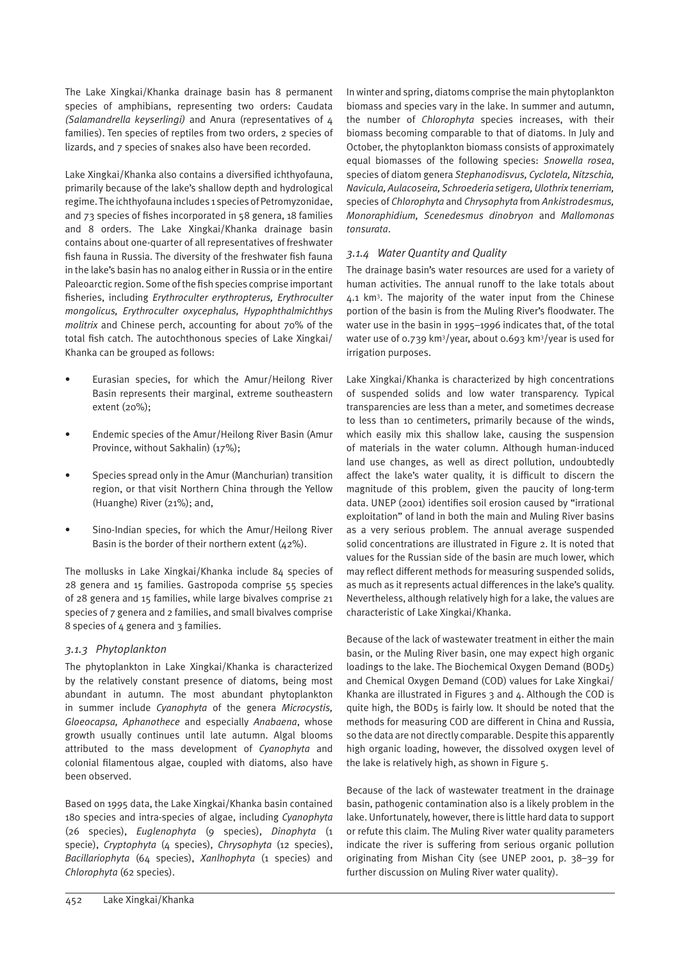The Lake Xingkai/Khanka drainage basin has 8 permanent species of amphibians, representing two orders: Caudata *(Salamandrella keyserlingi)* and Anura (representatives of 4 families). Ten species of reptiles from two orders, 2 species of lizards, and 7 species of snakes also have been recorded.

Lake Xingkai/Khanka also contains a diversified ichthyofauna, primarily because of the lake's shallow depth and hydrological regime. The ichthyofauna includes 1 species of Petromyzonidae, and 73 species of fishes incorporated in 58 genera, 18 families and 8 orders. The Lake Xingkai/Khanka drainage basin contains about one-quarter of all representatives of freshwater fish fauna in Russia. The diversity of the freshwater fish fauna in the lake's basin has no analog either in Russia or in the entire Paleoarctic region. Some of the fish species comprise important fisheries, including *Erythroculter erythropterus, Erythroculter mongolicus, Erythroculter oxycephalus, Hypophthalmichthys molitrix* and Chinese perch, accounting for about 70% of the total fish catch. The autochthonous species of Lake Xingkai/ Khanka can be grouped as follows:

- Eurasian species, for which the Amur/Heilong River Basin represents their marginal, extreme southeastern extent (20%);
- Endemic species of the Amur/Heilong River Basin (Amur Province, without Sakhalin) (17%);
- Species spread only in the Amur (Manchurian) transition region, or that visit Northern China through the Yellow (Huanghe) River (21%); and,
- Sino-Indian species, for which the Amur/Heilong River Basin is the border of their northern extent  $(42\%)$ .

The mollusks in Lake Xingkai/Khanka include 84 species of 28 genera and 15 families. Gastropoda comprise 55 species of 28 genera and 15 families, while large bivalves comprise 21 species of 7 genera and 2 families, and small bivalves comprise 8 species of 4 genera and 3 families.

#### *3.1.3 Phytoplankton*

The phytoplankton in Lake Xingkai/Khanka is characterized by the relatively constant presence of diatoms, being most abundant in autumn. The most abundant phytoplankton in summer include *Cyanophyta* of the genera *Microcystis, Gloeocapsa, Aphanothece* and especially *Anabaena*, whose growth usually continues until late autumn. Algal blooms attributed to the mass development of *Cyanophyta* and colonial filamentous algae, coupled with diatoms, also have been observed.

Based on 1995 data, the Lake Xingkai/Khanka basin contained 180 species and intra-species of algae, including *Cyanophyta*  (26 species), *Euglenophyta* (9 species), *Dinophyta* (1 specie), *Cryptophyta* (4 species), *Chrysophyta* (12 species), *Bacillariophyta* (64 species), *Xanlhophyta* (1 species) and *Chlorophyta* (62 species).

In winter and spring, diatoms comprise the main phytoplankton biomass and species vary in the lake. In summer and autumn, the number of *Chlorophyta* species increases, with their biomass becoming comparable to that of diatoms. In July and October, the phytoplankton biomass consists of approximately equal biomasses of the following species: *Snowella rosea*, species of diatom genera *Stephanodisvus, Cyclotela, Nitzschia, Navicula, Aulacoseira, Schroederia setigera, Ulothrix tenerriam,*  species of *Chlorophyta* and *Chrysophyta* from *Ankistrodesmus, Monoraphidium, Scenedesmus dinobryon* and *Mallomonas tonsurata*.

#### *3.1.4 Water Quantity and Quality*

The drainage basin's water resources are used for a variety of human activities. The annual runoff to the lake totals about 4.1 km<sup>3</sup>. The majority of the water input from the Chinese portion of the basin is from the Muling River's floodwater. The water use in the basin in 1995–1996 indicates that, of the total water use of 0.739 km<sup>3</sup>/year, about 0.693 km<sup>3</sup>/year is used for irrigation purposes.

Lake Xingkai/Khanka is characterized by high concentrations of suspended solids and low water transparency. Typical transparencies are less than a meter, and sometimes decrease to less than 10 centimeters, primarily because of the winds, which easily mix this shallow lake, causing the suspension of materials in the water column. Although human-induced land use changes, as well as direct pollution, undoubtedly affect the lake's water quality, it is difficult to discern the magnitude of this problem, given the paucity of long-term data. UNEP (2001) identifies soil erosion caused by "irrational exploitation" of land in both the main and Muling River basins as a very serious problem. The annual average suspended solid concentrations are illustrated in Figure 2. It is noted that values for the Russian side of the basin are much lower, which may reflect different methods for measuring suspended solids, as much as it represents actual differences in the lake's quality. Nevertheless, although relatively high for a lake, the values are characteristic of Lake Xingkai/Khanka.

Because of the lack of wastewater treatment in either the main basin, or the Muling River basin, one may expect high organic loadings to the lake. The Biochemical Oxygen Demand (BOD5) and Chemical Oxygen Demand (COD) values for Lake Xingkai/ Khanka are illustrated in Figures  $3$  and  $4$ . Although the COD is quite high, the BOD5 is fairly low. It should be noted that the methods for measuring COD are different in China and Russia, so the data are not directly comparable. Despite this apparently high organic loading, however, the dissolved oxygen level of the lake is relatively high, as shown in Figure 5.

Because of the lack of wastewater treatment in the drainage basin, pathogenic contamination also is a likely problem in the lake. Unfortunately, however, there is little hard data to support or refute this claim. The Muling River water quality parameters indicate the river is suffering from serious organic pollution originating from Mishan City (see UNEP 2001, p. 38–39 for further discussion on Muling River water quality).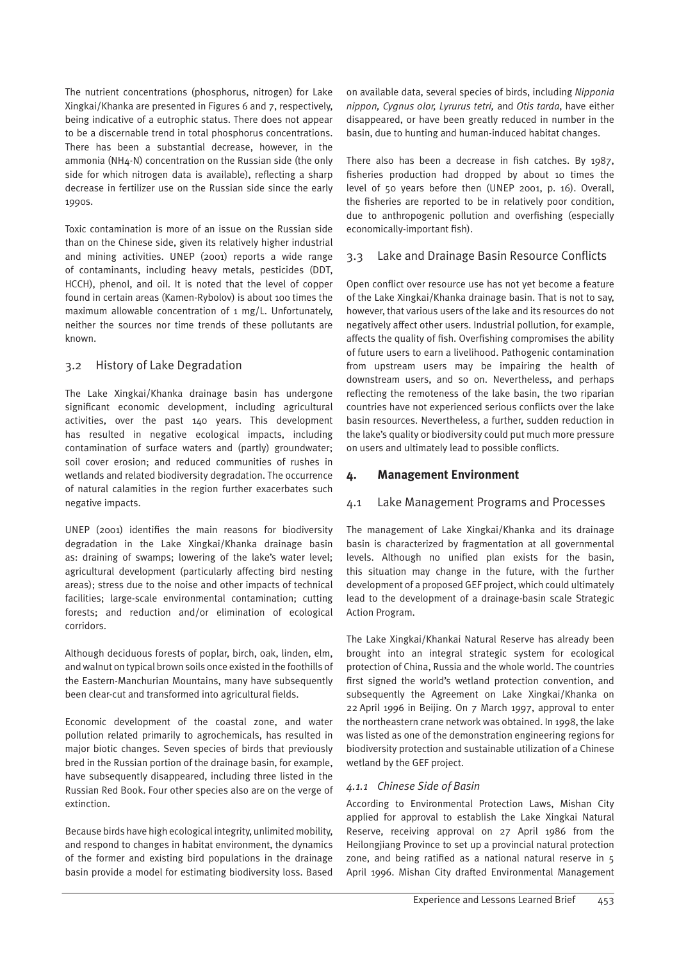The nutrient concentrations (phosphorus, nitrogen) for Lake Xingkai/Khanka are presented in Figures 6 and 7, respectively, being indicative of a eutrophic status. There does not appear to be a discernable trend in total phosphorus concentrations. There has been a substantial decrease, however, in the ammonia (NH4-N) concentration on the Russian side (the only side for which nitrogen data is available), reflecting a sharp decrease in fertilizer use on the Russian side since the early 1990s.

Toxic contamination is more of an issue on the Russian side than on the Chinese side, given its relatively higher industrial and mining activities. UNEP (2001) reports a wide range of contaminants, including heavy metals, pesticides (DDT, HCCH), phenol, and oil. It is noted that the level of copper found in certain areas (Kamen-Rybolov) is about 100 times the maximum allowable concentration of 1 mg/L. Unfortunately, neither the sources nor time trends of these pollutants are known.

# 3.2 History of Lake Degradation

The Lake Xingkai/Khanka drainage basin has undergone significant economic development, including agricultural activities, over the past 140 years. This development has resulted in negative ecological impacts, including contamination of surface waters and (partly) groundwater; soil cover erosion; and reduced communities of rushes in wetlands and related biodiversity degradation. The occurrence of natural calamities in the region further exacerbates such negative impacts.

UNEP (2001) identifies the main reasons for biodiversity degradation in the Lake Xingkai/Khanka drainage basin as: draining of swamps; lowering of the lake's water level; agricultural development (particularly affecting bird nesting areas); stress due to the noise and other impacts of technical facilities; large-scale environmental contamination; cutting forests; and reduction and/or elimination of ecological corridors.

Although deciduous forests of poplar, birch, oak, linden, elm, and walnut on typical brown soils once existed in the foothills of the Eastern-Manchurian Mountains, many have subsequently been clear-cut and transformed into agricultural fields.

Economic development of the coastal zone, and water pollution related primarily to agrochemicals, has resulted in major biotic changes. Seven species of birds that previously bred in the Russian portion of the drainage basin, for example, have subsequently disappeared, including three listed in the Russian Red Book. Four other species also are on the verge of extinction.

Because birds have high ecological integrity, unlimited mobility, and respond to changes in habitat environment, the dynamics of the former and existing bird populations in the drainage basin provide a model for estimating biodiversity loss. Based

on available data, several species of birds, including *Nipponia nippon, Cygnus olor, Lyrurus tetri,* and *Otis tarda*, have either disappeared, or have been greatly reduced in number in the basin, due to hunting and human-induced habitat changes.

There also has been a decrease in fish catches. By 1987, fisheries production had dropped by about 10 times the level of 50 years before then (UNEP 2001, p. 16). Overall, the fisheries are reported to be in relatively poor condition, due to anthropogenic pollution and overfishing (especially economically-important fish).

# 3.3 Lake and Drainage Basin Resource Conflicts

Open conflict over resource use has not yet become a feature of the Lake Xingkai/Khanka drainage basin. That is not to say, however, that various users of the lake and its resources do not negatively affect other users. Industrial pollution, for example, affects the quality of fish. Overfishing compromises the ability of future users to earn a livelihood. Pathogenic contamination from upstream users may be impairing the health of downstream users, and so on. Nevertheless, and perhaps reflecting the remoteness of the lake basin, the two riparian countries have not experienced serious conflicts over the lake basin resources. Nevertheless, a further, sudden reduction in the lake's quality or biodiversity could put much more pressure on users and ultimately lead to possible conflicts.

# **4. Management Environment**

# 4.1 Lake Management Programs and Processes

The management of Lake Xingkai/Khanka and its drainage basin is characterized by fragmentation at all governmental levels. Although no unified plan exists for the basin, this situation may change in the future, with the further development of a proposed GEF project, which could ultimately lead to the development of a drainage-basin scale Strategic Action Program.

The Lake Xingkai/Khankai Natural Reserve has already been brought into an integral strategic system for ecological protection of China, Russia and the whole world. The countries first signed the world's wetland protection convention, and subsequently the Agreement on Lake Xingkai/Khanka on 22 April 1996 in Beijing. On 7 March 1997, approval to enter the northeastern crane network was obtained. In 1998, the lake was listed as one of the demonstration engineering regions for biodiversity protection and sustainable utilization of a Chinese wetland by the GEF project.

# *4.1.1 Chinese Side of Basin*

According to Environmental Protection Laws, Mishan City applied for approval to establish the Lake Xingkai Natural Reserve, receiving approval on 27 April 1986 from the Heilongjiang Province to set up a provincial natural protection zone, and being ratified as a national natural reserve in 5 April 1996. Mishan City drafted Environmental Management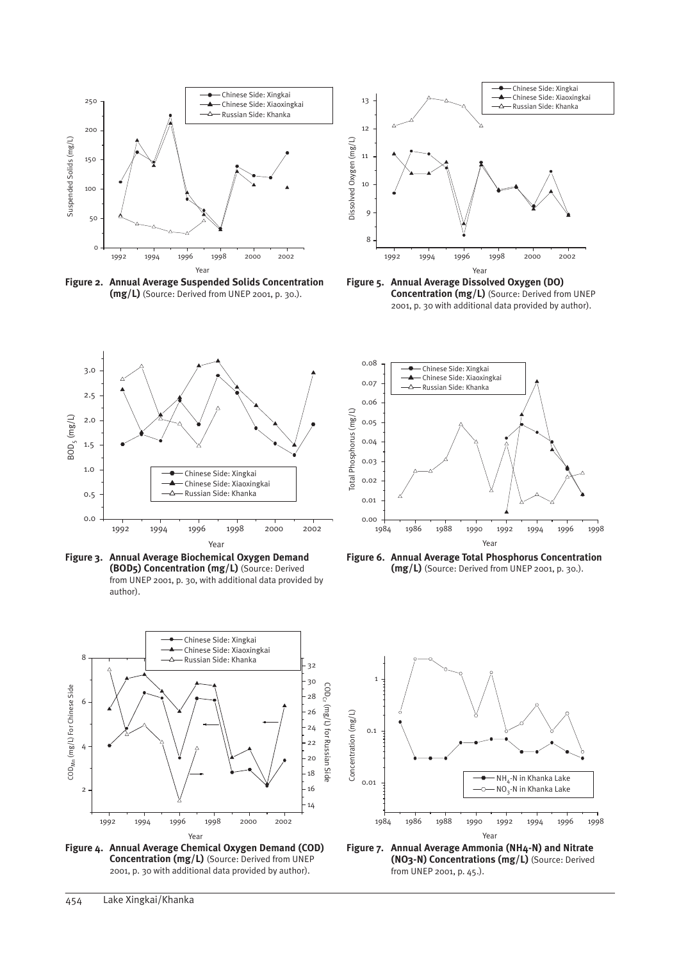

**Figure 2. Annual Average Suspended Solids Concentration (mg/L)** (Source: Derived from UNEP 2001, p. 30.).



**Figure 5. Annual Average Dissolved Oxygen (DO) Concentration (mg/L)** (Source: Derived from UNEP 2001, p. 30 with additional data provided by author).



**Figure 3. Annual Average Biochemical Oxygen Demand (BOD5) Concentration (mg/L)** (Source: Derived from UNEP 2001, p. 30, with additional data provided by author).



**Figure 4. Annual Average Chemical Oxygen Demand (COD) Concentration (mg/L)** (Source: Derived from UNEP 2001, p. 30 with additional data provided by author).



**Figure 6. Annual Average Total Phosphorus Concentration (mg/L)** (Source: Derived from UNEP 2001, p. 30.).



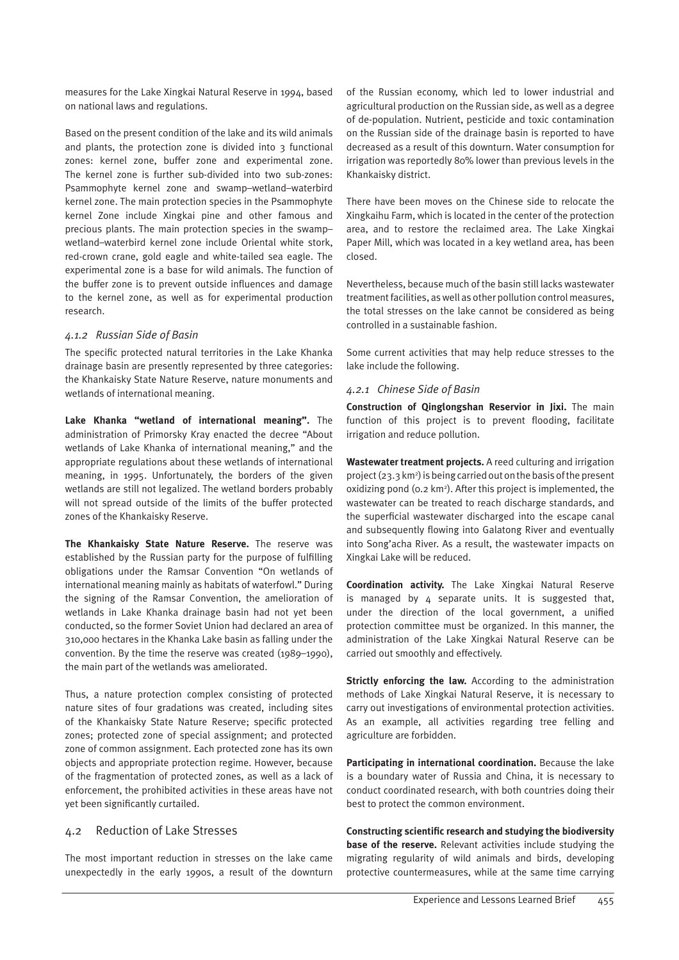measures for the Lake Xingkai Natural Reserve in 1994, based on national laws and regulations.

Based on the present condition of the lake and its wild animals and plants, the protection zone is divided into  $\frac{1}{3}$  functional zones: kernel zone, buffer zone and experimental zone. The kernel zone is further sub-divided into two sub-zones: Psammophyte kernel zone and swamp–wetland–waterbird kernel zone. The main protection species in the Psammophyte kernel Zone include Xingkai pine and other famous and precious plants. The main protection species in the swamp– wetland–waterbird kernel zone include Oriental white stork, red-crown crane, gold eagle and white-tailed sea eagle. The experimental zone is a base for wild animals. The function of the buffer zone is to prevent outside influences and damage to the kernel zone, as well as for experimental production research.

#### *4.1.2 Russian Side of Basin*

The specific protected natural territories in the Lake Khanka drainage basin are presently represented by three categories: the Khankaisky State Nature Reserve, nature monuments and wetlands of international meaning.

**Lake Khanka "wetland of international meaning".** The administration of Primorsky Kray enacted the decree "About wetlands of Lake Khanka of international meaning," and the appropriate regulations about these wetlands of international meaning, in 1995. Unfortunately, the borders of the given wetlands are still not legalized. The wetland borders probably will not spread outside of the limits of the buffer protected zones of the Khankaisky Reserve.

**The Khankaisky State Nature Reserve.** The reserve was established by the Russian party for the purpose of fulfilling obligations under the Ramsar Convention "On wetlands of international meaning mainly as habitats of waterfowl." During the signing of the Ramsar Convention, the amelioration of wetlands in Lake Khanka drainage basin had not yet been conducted, so the former Soviet Union had declared an area of 310,000 hectares in the Khanka Lake basin as falling under the convention. By the time the reserve was created (1989–1990), the main part of the wetlands was ameliorated.

Thus, a nature protection complex consisting of protected nature sites of four gradations was created, including sites of the Khankaisky State Nature Reserve; specific protected zones; protected zone of special assignment; and protected zone of common assignment. Each protected zone has its own objects and appropriate protection regime. However, because of the fragmentation of protected zones, as well as a lack of enforcement, the prohibited activities in these areas have not yet been significantly curtailed.

#### 4.2 Reduction of Lake Stresses

The most important reduction in stresses on the lake came unexpectedly in the early 1990s, a result of the downturn

of the Russian economy, which led to lower industrial and agricultural production on the Russian side, as well as a degree of de-population. Nutrient, pesticide and toxic contamination on the Russian side of the drainage basin is reported to have decreased as a result of this downturn. Water consumption for irrigation was reportedly 80% lower than previous levels in the Khankaisky district.

There have been moves on the Chinese side to relocate the Xingkaihu Farm, which is located in the center of the protection area, and to restore the reclaimed area. The Lake Xingkai Paper Mill, which was located in a key wetland area, has been closed.

Nevertheless, because much of the basin still lacks wastewater treatment facilities, as well as other pollution control measures, the total stresses on the lake cannot be considered as being controlled in a sustainable fashion.

Some current activities that may help reduce stresses to the lake include the following.

#### *4.2.1 Chinese Side of Basin*

**Construction of Qinglongshan Reservior in Jixi.** The main function of this project is to prevent flooding, facilitate irrigation and reduce pollution.

**Wastewater treatment projects.** A reed culturing and irrigation project (23.3 km2 ) is being carried out on the basis of the present oxidizing pond (0.2 km<sup>2</sup>). After this project is implemented, the wastewater can be treated to reach discharge standards, and the superficial wastewater discharged into the escape canal and subsequently flowing into Galatong River and eventually into Song'acha River. As a result, the wastewater impacts on Xingkai Lake will be reduced.

**Coordination activity.** The Lake Xingkai Natural Reserve is managed by  $4$  separate units. It is suggested that, under the direction of the local government, a unified protection committee must be organized. In this manner, the administration of the Lake Xingkai Natural Reserve can be carried out smoothly and effectively.

**Strictly enforcing the law.** According to the administration methods of Lake Xingkai Natural Reserve, it is necessary to carry out investigations of environmental protection activities. As an example, all activities regarding tree felling and agriculture are forbidden.

**Participating in international coordination.** Because the lake is a boundary water of Russia and China, it is necessary to conduct coordinated research, with both countries doing their best to protect the common environment.

**Constructing scientific research and studying the biodiversity base of the reserve.** Relevant activities include studying the migrating regularity of wild animals and birds, developing protective countermeasures, while at the same time carrying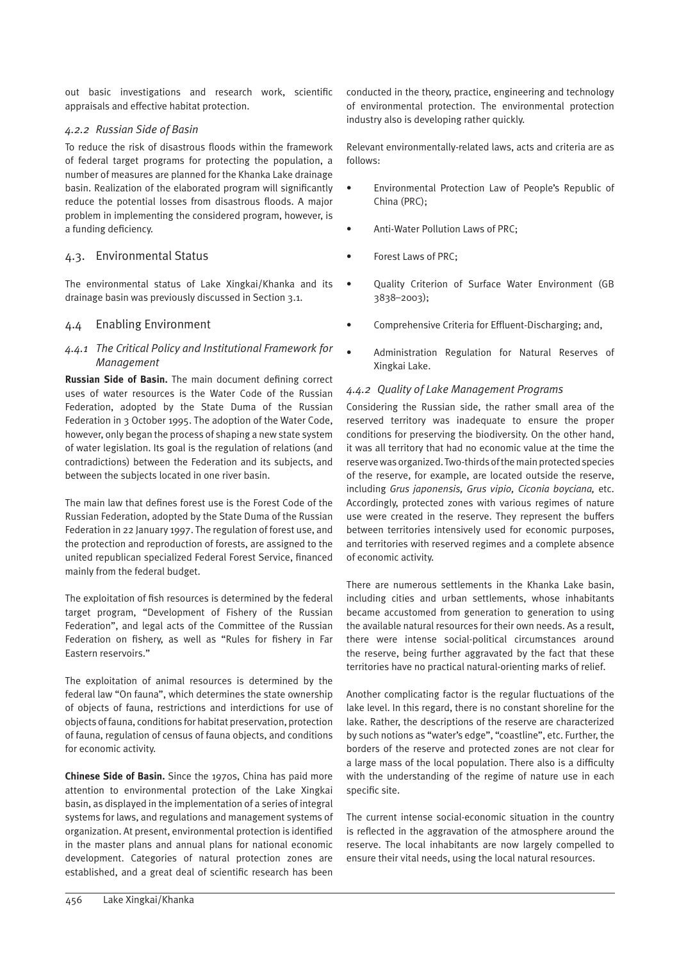out basic investigations and research work, scientific appraisals and effective habitat protection.

#### *4.2.2 Russian Side of Basin*

To reduce the risk of disastrous floods within the framework of federal target programs for protecting the population, a number of measures are planned for the Khanka Lake drainage basin. Realization of the elaborated program will significantly reduce the potential losses from disastrous floods. A major problem in implementing the considered program, however, is a funding deficiency.

# 4.3. Environmental Status

The environmental status of Lake Xingkai/Khanka and its drainage basin was previously discussed in Section 3.1.

# 4.4 Enabling Environment

# *4.4.1 The Critical Policy and Institutional Framework for Management*

**Russian Side of Basin.** The main document defining correct uses of water resources is the Water Code of the Russian Federation, adopted by the State Duma of the Russian Federation in 3 October 1995. The adoption of the Water Code, however, only began the process of shaping a new state system of water legislation. Its goal is the regulation of relations (and contradictions) between the Federation and its subjects, and between the subjects located in one river basin.

The main law that defines forest use is the Forest Code of the Russian Federation, adopted by the State Duma of the Russian Federation in 22 January 1997. The regulation of forest use, and the protection and reproduction of forests, are assigned to the united republican specialized Federal Forest Service, financed mainly from the federal budget.

The exploitation of fish resources is determined by the federal target program, "Development of Fishery of the Russian Federation", and legal acts of the Committee of the Russian Federation on fishery, as well as "Rules for fishery in Far Eastern reservoirs."

The exploitation of animal resources is determined by the federal law "On fauna", which determines the state ownership of objects of fauna, restrictions and interdictions for use of objects of fauna, conditions for habitat preservation, protection of fauna, regulation of census of fauna objects, and conditions for economic activity.

**Chinese Side of Basin.** Since the 1970s, China has paid more attention to environmental protection of the Lake Xingkai basin, as displayed in the implementation of a series of integral systems for laws, and regulations and management systems of organization. At present, environmental protection is identified in the master plans and annual plans for national economic development. Categories of natural protection zones are established, and a great deal of scientific research has been conducted in the theory, practice, engineering and technology of environmental protection. The environmental protection industry also is developing rather quickly.

Relevant environmentally-related laws, acts and criteria are as follows:

- Environmental Protection Law of People's Republic of China (PRC);
- Anti-Water Pollution Laws of PRC;
- Forest Laws of PRC;
- Quality Criterion of Surface Water Environment (GB 3838–2003);
- Comprehensive Criteria for Effluent-Discharging; and,
- Administration Regulation for Natural Reserves of Xingkai Lake.

#### *4.4.2 Quality of Lake Management Programs*

Considering the Russian side, the rather small area of the reserved territory was inadequate to ensure the proper conditions for preserving the biodiversity. On the other hand, it was all territory that had no economic value at the time the reserve was organized. Two-thirds of the main protected species of the reserve, for example, are located outside the reserve, including *Grus japonensis, Grus vipio, Ciconia boyciana,* etc. Accordingly, protected zones with various regimes of nature use were created in the reserve. They represent the buffers between territories intensively used for economic purposes, and territories with reserved regimes and a complete absence of economic activity.

There are numerous settlements in the Khanka Lake basin, including cities and urban settlements, whose inhabitants became accustomed from generation to generation to using the available natural resources for their own needs. As a result, there were intense social-political circumstances around the reserve, being further aggravated by the fact that these territories have no practical natural-orienting marks of relief.

Another complicating factor is the regular fluctuations of the lake level. In this regard, there is no constant shoreline for the lake. Rather, the descriptions of the reserve are characterized by such notions as "water's edge", "coastline", etc. Further, the borders of the reserve and protected zones are not clear for a large mass of the local population. There also is a difficulty with the understanding of the regime of nature use in each specific site.

The current intense social-economic situation in the country is reflected in the aggravation of the atmosphere around the reserve. The local inhabitants are now largely compelled to ensure their vital needs, using the local natural resources.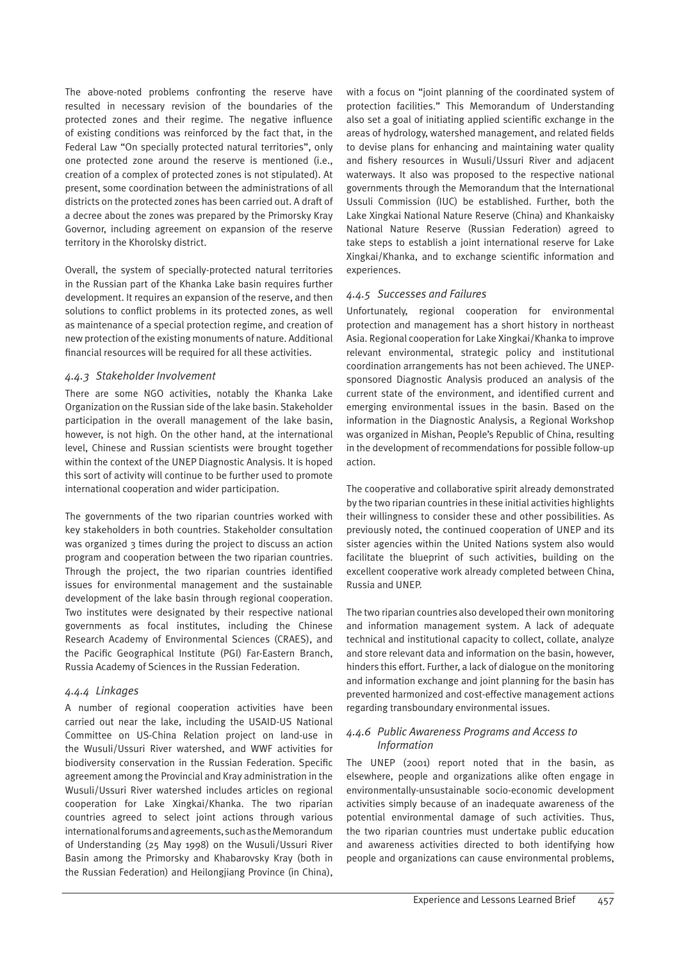The above-noted problems confronting the reserve have resulted in necessary revision of the boundaries of the protected zones and their regime. The negative influence of existing conditions was reinforced by the fact that, in the Federal Law "On specially protected natural territories", only one protected zone around the reserve is mentioned (i.e., creation of a complex of protected zones is not stipulated). At present, some coordination between the administrations of all districts on the protected zones has been carried out. A draft of a decree about the zones was prepared by the Primorsky Kray Governor, including agreement on expansion of the reserve territory in the Khorolsky district.

Overall, the system of specially-protected natural territories in the Russian part of the Khanka Lake basin requires further development. It requires an expansion of the reserve, and then solutions to conflict problems in its protected zones, as well as maintenance of a special protection regime, and creation of new protection of the existing monuments of nature. Additional financial resources will be required for all these activities.

#### *4.4.3 Stakeholder Involvement*

There are some NGO activities, notably the Khanka Lake Organization on the Russian side of the lake basin. Stakeholder participation in the overall management of the lake basin, however, is not high. On the other hand, at the international level, Chinese and Russian scientists were brought together within the context of the UNEP Diagnostic Analysis. It is hoped this sort of activity will continue to be further used to promote international cooperation and wider participation.

The governments of the two riparian countries worked with key stakeholders in both countries. Stakeholder consultation was organized 3 times during the project to discuss an action program and cooperation between the two riparian countries. Through the project, the two riparian countries identified issues for environmental management and the sustainable development of the lake basin through regional cooperation. Two institutes were designated by their respective national governments as focal institutes, including the Chinese Research Academy of Environmental Sciences (CRAES), and the Pacific Geographical Institute (PGI) Far-Eastern Branch, Russia Academy of Sciences in the Russian Federation.

#### *4.4.4 Linkages*

A number of regional cooperation activities have been carried out near the lake, including the USAID-US National Committee on US-China Relation project on land-use in the Wusuli/Ussuri River watershed, and WWF activities for biodiversity conservation in the Russian Federation. Specific agreement among the Provincial and Kray administration in the Wusuli/Ussuri River watershed includes articles on regional cooperation for Lake Xingkai/Khanka. The two riparian countries agreed to select joint actions through various international forums and agreements, such as the Memorandum of Understanding (25 May 1998) on the Wusuli/Ussuri River Basin among the Primorsky and Khabarovsky Kray (both in the Russian Federation) and Heilongjiang Province (in China),

with a focus on "joint planning of the coordinated system of protection facilities." This Memorandum of Understanding also set a goal of initiating applied scientific exchange in the areas of hydrology, watershed management, and related fields to devise plans for enhancing and maintaining water quality and fishery resources in Wusuli/Ussuri River and adjacent waterways. It also was proposed to the respective national governments through the Memorandum that the International Ussuli Commission (IUC) be established. Further, both the Lake Xingkai National Nature Reserve (China) and Khankaisky National Nature Reserve (Russian Federation) agreed to take steps to establish a joint international reserve for Lake Xingkai/Khanka, and to exchange scientific information and experiences.

# *4.4.5 Successes and Failures*

Unfortunately, regional cooperation for environmental protection and management has a short history in northeast Asia. Regional cooperation for Lake Xingkai/Khanka to improve relevant environmental, strategic policy and institutional coordination arrangements has not been achieved. The UNEPsponsored Diagnostic Analysis produced an analysis of the current state of the environment, and identified current and emerging environmental issues in the basin. Based on the information in the Diagnostic Analysis, a Regional Workshop was organized in Mishan, People's Republic of China, resulting in the development of recommendations for possible follow-up action.

The cooperative and collaborative spirit already demonstrated by the two riparian countries in these initial activities highlights their willingness to consider these and other possibilities. As previously noted, the continued cooperation of UNEP and its sister agencies within the United Nations system also would facilitate the blueprint of such activities, building on the excellent cooperative work already completed between China, Russia and UNEP.

The two riparian countries also developed their own monitoring and information management system. A lack of adequate technical and institutional capacity to collect, collate, analyze and store relevant data and information on the basin, however, hinders this effort. Further, a lack of dialogue on the monitoring and information exchange and joint planning for the basin has prevented harmonized and cost-effective management actions regarding transboundary environmental issues.

#### *4.4.6 Public Awareness Programs and Access to Information*

The UNEP (2001) report noted that in the basin, as elsewhere, people and organizations alike often engage in environmentally-unsustainable socio-economic development activities simply because of an inadequate awareness of the potential environmental damage of such activities. Thus, the two riparian countries must undertake public education and awareness activities directed to both identifying how people and organizations can cause environmental problems,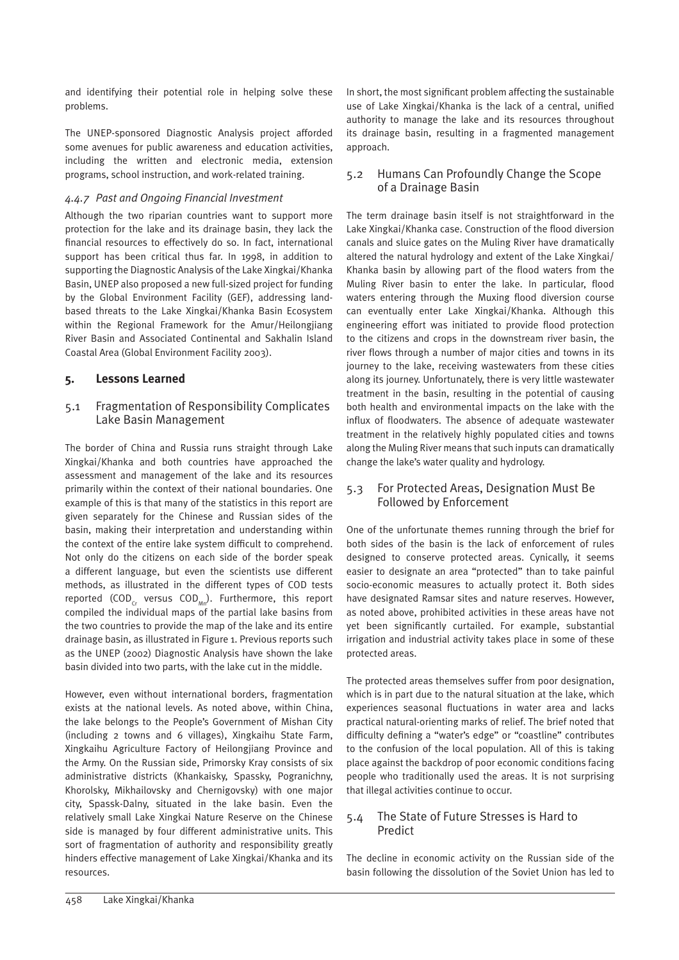and identifying their potential role in helping solve these problems.

The UNEP-sponsored Diagnostic Analysis project afforded some avenues for public awareness and education activities, including the written and electronic media, extension programs, school instruction, and work-related training.

#### *4.4.7 Past and Ongoing Financial Investment*

Although the two riparian countries want to support more protection for the lake and its drainage basin, they lack the financial resources to effectively do so. In fact, international support has been critical thus far. In 1998, in addition to supporting the Diagnostic Analysis of the Lake Xingkai/Khanka Basin, UNEP also proposed a new full-sized project for funding by the Global Environment Facility (GEF), addressing landbased threats to the Lake Xingkai/Khanka Basin Ecosystem within the Regional Framework for the Amur/Heilongjiang River Basin and Associated Continental and Sakhalin Island Coastal Area (Global Environment Facility 2003).

# **5. Lessons Learned**

# 5.1 Fragmentation of Responsibility Complicates Lake Basin Management

The border of China and Russia runs straight through Lake Xingkai/Khanka and both countries have approached the assessment and management of the lake and its resources primarily within the context of their national boundaries. One example of this is that many of the statistics in this report are given separately for the Chinese and Russian sides of the basin, making their interpretation and understanding within the context of the entire lake system difficult to comprehend. Not only do the citizens on each side of the border speak a different language, but even the scientists use different methods, as illustrated in the different types of COD tests reported (COD<sub>c</sub>, versus COD<sub>Mp</sub>). Furthermore, this report compiled the individual maps of the partial lake basins from the two countries to provide the map of the lake and its entire drainage basin, as illustrated in Figure 1. Previous reports such as the UNEP (2002) Diagnostic Analysis have shown the lake basin divided into two parts, with the lake cut in the middle.

However, even without international borders, fragmentation exists at the national levels. As noted above, within China, the lake belongs to the People's Government of Mishan City (including 2 towns and 6 villages), Xingkaihu State Farm, Xingkaihu Agriculture Factory of Heilongjiang Province and the Army. On the Russian side, Primorsky Kray consists of six administrative districts (Khankaisky, Spassky, Pogranichny, Khorolsky, Mikhailovsky and Chernigovsky) with one major city, Spassk-Dalny, situated in the lake basin. Even the relatively small Lake Xingkai Nature Reserve on the Chinese side is managed by four different administrative units. This sort of fragmentation of authority and responsibility greatly hinders effective management of Lake Xingkai/Khanka and its resources.

In short, the most significant problem affecting the sustainable use of Lake Xingkai/Khanka is the lack of a central, unified authority to manage the lake and its resources throughout its drainage basin, resulting in a fragmented management approach.

## 5.2 Humans Can Profoundly Change the Scope of a Drainage Basin

The term drainage basin itself is not straightforward in the Lake Xingkai/Khanka case. Construction of the flood diversion canals and sluice gates on the Muling River have dramatically altered the natural hydrology and extent of the Lake Xingkai/ Khanka basin by allowing part of the flood waters from the Muling River basin to enter the lake. In particular, flood waters entering through the Muxing flood diversion course can eventually enter Lake Xingkai/Khanka. Although this engineering effort was initiated to provide flood protection to the citizens and crops in the downstream river basin, the river flows through a number of major cities and towns in its journey to the lake, receiving wastewaters from these cities along its journey. Unfortunately, there is very little wastewater treatment in the basin, resulting in the potential of causing both health and environmental impacts on the lake with the influx of floodwaters. The absence of adequate wastewater treatment in the relatively highly populated cities and towns along the Muling River means that such inputs can dramatically change the lake's water quality and hydrology.

# 5.3 For Protected Areas, Designation Must Be Followed by Enforcement

One of the unfortunate themes running through the brief for both sides of the basin is the lack of enforcement of rules designed to conserve protected areas. Cynically, it seems easier to designate an area "protected" than to take painful socio-economic measures to actually protect it. Both sides have designated Ramsar sites and nature reserves. However, as noted above, prohibited activities in these areas have not yet been significantly curtailed. For example, substantial irrigation and industrial activity takes place in some of these protected areas.

The protected areas themselves suffer from poor designation, which is in part due to the natural situation at the lake, which experiences seasonal fluctuations in water area and lacks practical natural-orienting marks of relief. The brief noted that difficulty defining a "water's edge" or "coastline" contributes to the confusion of the local population. All of this is taking place against the backdrop of poor economic conditions facing people who traditionally used the areas. It is not surprising that illegal activities continue to occur.

# 5.4 The State of Future Stresses is Hard to Predict

The decline in economic activity on the Russian side of the basin following the dissolution of the Soviet Union has led to